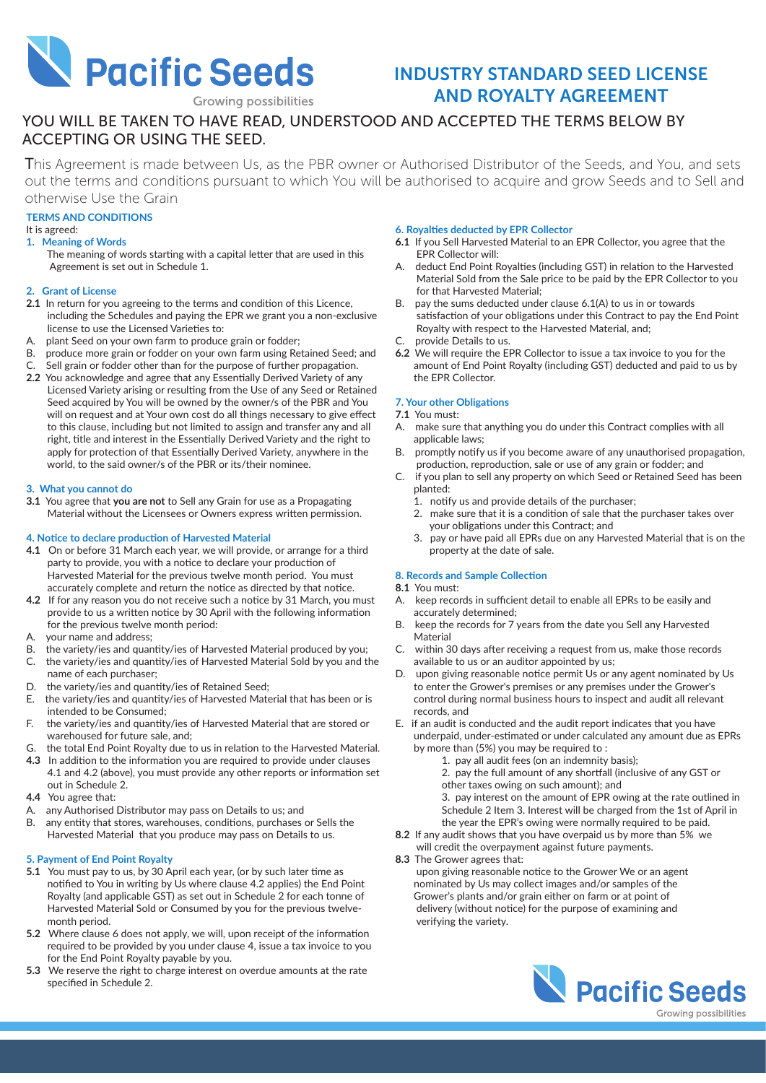

# INDUSTRY STANDARD SEED LICENSE AND ROYALTY AGREEMENT

**Growing possibilities** 

# YOU WILL BE TAKEN TO HAVE READ, UNDERSTOOD AND ACCEPTED THE TERMS BELOW BY ACCEPTING OR USING THE SEED.

This Agreement is made between Us, as the PBR owner or Authorised Distributor of the Seeds, and You, and sets out the terms and conditions pursuant to which You will be authorised to acquire and grow Seeds and to Sell and otherwise Use the Grain

# **TERMS AND CONDITIONS**

It is agreed:

- **1. Meaning of Words**
	- The meaning of words starting with a capital letter that are used in this Agreement is set out in Schedule 1.

# **2. Grant of License**

- **2.1** In return for you agreeing to the terms and condition of this Licence, including the Schedules and paying the EPR we grant you a non-exclusive license to use the Licensed Varieties to:
- A. plant Seed on your own farm to produce grain or fodder;
- B. produce more grain or fodder on your own farm using Retained Seed; and
- C. Sell grain or fodder other than for the purpose of further propagation.
- **2.2** You acknowledge and agree that any Essentially Derived Variety of any Licensed Variety arising or resulting from the Use of any Seed or Retained Seed acquired by You will be owned by the owner/s of the PBR and You will on request and at Your own cost do all things necessary to give effect to this clause, including but not limited to assign and transfer any and all right, title and interest in the Essentially Derived Variety and the right to apply for protection of that Essentially Derived Variety, anywhere in the world, to the said owner/s of the PBR or its/their nominee.

#### **3. What you cannot do**

**3.1** You agree that **you are not** to Sell any Grain for use as a Propagating Material without the Licensees or Owners express written permission.

#### **4. Notice to declare production of Harvested Material**

- **4.1** On or before 31 March each year, we will provide, or arrange for a third party to provide, you with a notice to declare your production of Harvested Material for the previous twelve month period. You must accurately complete and return the notice as directed by that notice.
- **4.2** If for any reason you do not receive such a notice by 31 March, you must provide to us a written notice by 30 April with the following information for the previous twelve month period:
- A. your name and address;
- B. the variety/ies and quantity/ies of Harvested Material produced by you;
- C. the variety/ies and quantity/ies of Harvested Material Sold by you and the name of each purchaser;
- D. the variety/ies and quantity/ies of Retained Seed;
- E. the variety/ies and quantity/ies of Harvested Material that has been or is intended to be Consumed;<br>F the variety/jes and quantity
- the variety/ies and quantity/ies of Harvested Material that are stored or warehoused for future sale, and;
- G. the total End Point Royalty due to us in relation to the Harvested Material.
- **4.3** In addition to the information you are required to provide under clauses 4.1 and 4.2 (above), you must provide any other reports or information set out in Schedule 2.
- **4.4** You agree that:
- A. any Authorised Distributor may pass on Details to us; and
- B. any entity that stores, warehouses, conditions, purchases or Sells the Harvested Material that you produce may pass on Details to us.

# **5. Payment of End Point Royalty**

- **5.1** You must pay to us, by 30 April each year, (or by such later time as notified to You in writing by Us where clause 4.2 applies) the End Point Royalty (and applicable GST) as set out in Schedule 2 for each tonne of Harvested Material Sold or Consumed by you for the previous twelve month period.
- **5.2** Where clause 6 does not apply, we will, upon receipt of the information required to be provided by you under clause 4, issue a tax invoice to you for the End Point Royalty payable by you.
- **5.3** We reserve the right to charge interest on overdue amounts at the rate specified in Schedule 2.

#### **6. Royalties deducted by EPR Collector**

- **6.1** If you Sell Harvested Material to an EPR Collector, you agree that the EPR Collector will:
- deduct End Point Royalties (including GST) in relation to the Harvested Material Sold from the Sale price to be paid by the EPR Collector to you for that Harvested Material;<br>B may the sums deducted under
- pay the sums deducted under clause 6.1(A) to us in or towards satisfaction of your obligations under this Contract to pay the End Point Royalty with respect to the Harvested Material, and;
- C. provide Details to us.
- **6.2** We will require the EPR Collector to issue a tax invoice to you for the amount of End Point Royalty (including GST) deducted and paid to us by the EPR Collector.

# **7. Your other Obligations**

- **7.1** You must:
- A. make sure that anything you do under this Contract complies with all applicable laws;
- B. promptly notify us if you become aware of any unauthorised propagation, production, reproduction, sale or use of any grain or fodder; and
- C. if you plan to sell any property on which Seed or Retained Seed has been planted:
	- 1. notify us and provide details of the purchaser;
	- 2. make sure that it is a condition of sale that the purchaser takes over your obligations under this Contract; and
	- 3. pay or have paid all EPRs due on any Harvested Material that is on the property at the date of sale.

# **8. Records and Sample Collection**

**8.1** You must:

- A. keep records in sufficient detail to enable all EPRs to be easily and accurately determined;
- B. keep the records for 7 years from the date you Sell any Harvested Material
- C. within 30 days after receiving a request from us, make those records available to us or an auditor appointed by us;
- D. upon giving reasonable notice permit Us or any agent nominated by Us to enter the Grower's premises or any premises under the Grower's control during normal business hours to inspect and audit all relevant records, and
- E. if an audit is conducted and the audit report indicates that you have underpaid, under-estimated or under calculated any amount due as EPRs by more than (5%) you may be required to :
	- 1. pay all audit fees (on an indemnity basis);
		- 2. pay the full amount of any shortfall (inclusive of any GST or other taxes owing on such amount); and
		- 3. pay interest on the amount of EPR owing at the rate outlined in
		- Schedule 2 Item 3. Interest will be charged from the 1st of April in the year the EPR's owing were normally required to be paid.
- **8.2** If any audit shows that you have overpaid us by more than 5% we
- will credit the overpayment against future payments.
- **8.3** The Grower agrees that:

 upon giving reasonable notice to the Grower We or an agent nominated by Us may collect images and/or samples of the Grower's plants and/or grain either on farm or at point of delivery (without notice) for the purpose of examining and verifying the variety.

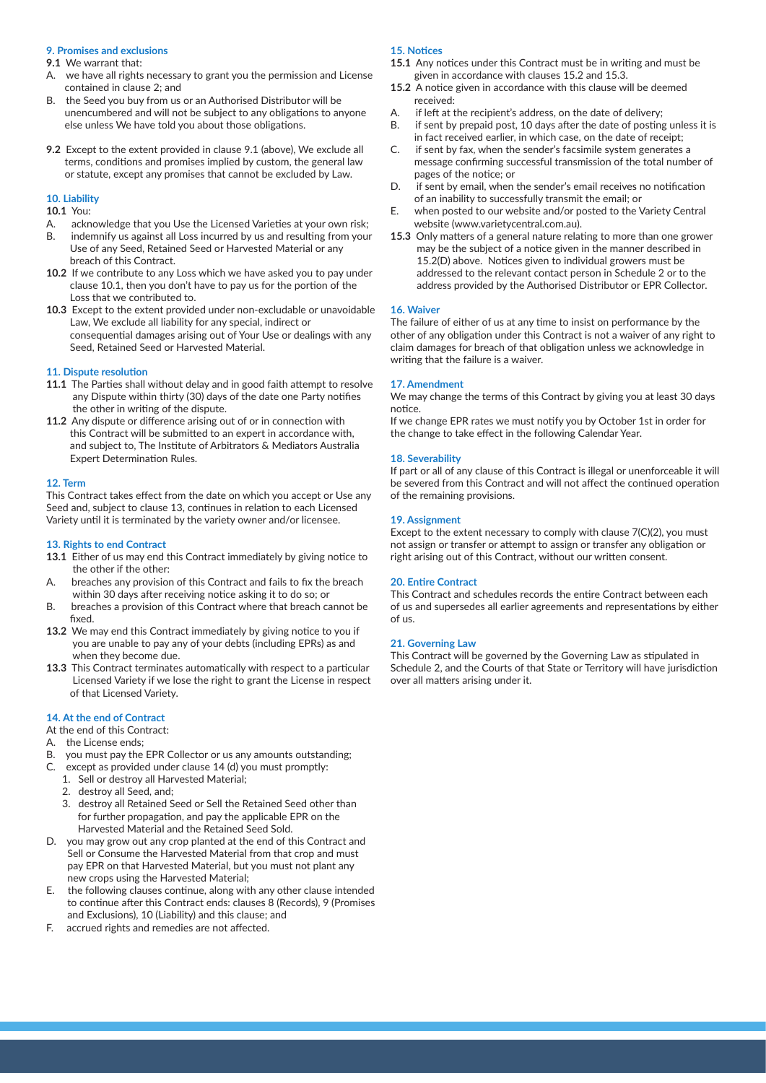# **9. Promises and exclusions**

#### **9.1** We warrant that:

- A. we have all rights necessary to grant you the permission and License contained in clause 2; and
- B. the Seed you buy from us or an Authorised Distributor will be unencumbered and will not be subject to any obligations to anyone else unless We have told you about those obligations.
- **9.2** Except to the extent provided in clause 9.1 (above), We exclude all terms, conditions and promises implied by custom, the general law or statute, except any promises that cannot be excluded by Law.

# **10. Liability**

### **10.1** You:

- A. acknowledge that you Use the Licensed Varieties at your own risk;
- B. indemnify us against all Loss incurred by us and resulting from your Use of any Seed, Retained Seed or Harvested Material or any breach of this Contract.
- **10.2** If we contribute to any Loss which we have asked you to pay under clause 10.1, then you don't have to pay us for the portion of the Loss that we contributed to.
- **10.3** Except to the extent provided under non-excludable or unavoidable Law, We exclude all liability for any special, indirect or consequential damages arising out of Your Use or dealings with any Seed, Retained Seed or Harvested Material.

# **11. Dispute resolution**

- **11.1** The Parties shall without delay and in good faith attempt to resolve any Dispute within thirty (30) days of the date one Party notifies the other in writing of the dispute.
- **11.2** Any dispute or difference arising out of or in connection with this Contract will be submitted to an expert in accordance with, and subject to, The Institute of Arbitrators & Mediators Australia Expert Determination Rules.

#### **12. Term**

This Contract takes effect from the date on which you accept or Use any Seed and, subject to clause 13, continues in relation to each Licensed Variety until it is terminated by the variety owner and/or licensee.

#### **13. Rights to end Contract**

- **13.1** Either of us may end this Contract immediately by giving notice to the other if the other:
- A. breaches any provision of this Contract and fails to fix the breach within 30 days after receiving notice asking it to do so; or
- B. breaches a provision of this Contract where that breach cannot be fixed.
- **13.2** We may end this Contract immediately by giving notice to you if you are unable to pay any of your debts (including EPRs) as and when they become due.
- **13.3** This Contract terminates automatically with respect to a particular Licensed Variety if we lose the right to grant the License in respect of that Licensed Variety.

# **14. At the end of Contract**

# At the end of this Contract:

- A. the License ends;
- B. you must pay the EPR Collector or us any amounts outstanding;
- C. except as provided under clause 14 (d) you must promptly:
	- 1. Sell or destroy all Harvested Material;
	- 2. destroy all Seed, and;
	- 3. destroy all Retained Seed or Sell the Retained Seed other than for further propagation, and pay the applicable EPR on the Harvested Material and the Retained Seed Sold.
- D. you may grow out any crop planted at the end of this Contract and Sell or Consume the Harvested Material from that crop and must pay EPR on that Harvested Material, but you must not plant any new crops using the Harvested Material;
- E. the following clauses continue, along with any other clause intended to continue after this Contract ends: clauses 8 (Records), 9 (Promises and Exclusions), 10 (Liability) and this clause; and
- F. accrued rights and remedies are not affected.

# **15. Notices**

- **15.1** Any notices under this Contract must be in writing and must be given in accordance with clauses 15.2 and 15.3.
- **15.2** A notice given in accordance with this clause will be deemed received:
- A. if left at the recipient's address, on the date of delivery;
- B. if sent by prepaid post, 10 days after the date of posting unless it is in fact received earlier, in which case, on the date of receipt;
- C. if sent by fax, when the sender's facsimile system generates a message confirming successful transmission of the total number of pages of the notice; or
- D. if sent by email, when the sender's email receives no notification of an inability to successfully transmit the email; or
- E. when posted to our website and/or posted to the Variety Central website (www.varietycentral.com.au).
- **15.3** Only matters of a general nature relating to more than one grower may be the subject of a notice given in the manner described in 15.2(D) above. Notices given to individual growers must be addressed to the relevant contact person in Schedule 2 or to the address provided by the Authorised Distributor or EPR Collector.

#### **16. Waiver**

The failure of either of us at any time to insist on performance by the other of any obligation under this Contract is not a waiver of any right to claim damages for breach of that obligation unless we acknowledge in writing that the failure is a waiver.

# **17. Amendment**

We may change the terms of this Contract by giving you at least 30 days notice.

If we change EPR rates we must notify you by October 1st in order for the change to take effect in the following Calendar Year.

#### **18. Severability**

If part or all of any clause of this Contract is illegal or unenforceable it will be severed from this Contract and will not affect the continued operation of the remaining provisions.

#### **19. Assignment**

Except to the extent necessary to comply with clause 7(C)(2), you must not assign or transfer or attempt to assign or transfer any obligation or right arising out of this Contract, without our written consent.

#### **20. Entire Contract**

This Contract and schedules records the entire Contract between each of us and supersedes all earlier agreements and representations by either of us.

#### **21. Governing Law**

This Contract will be governed by the Governing Law as stipulated in Schedule 2, and the Courts of that State or Territory will have jurisdiction over all matters arising under it.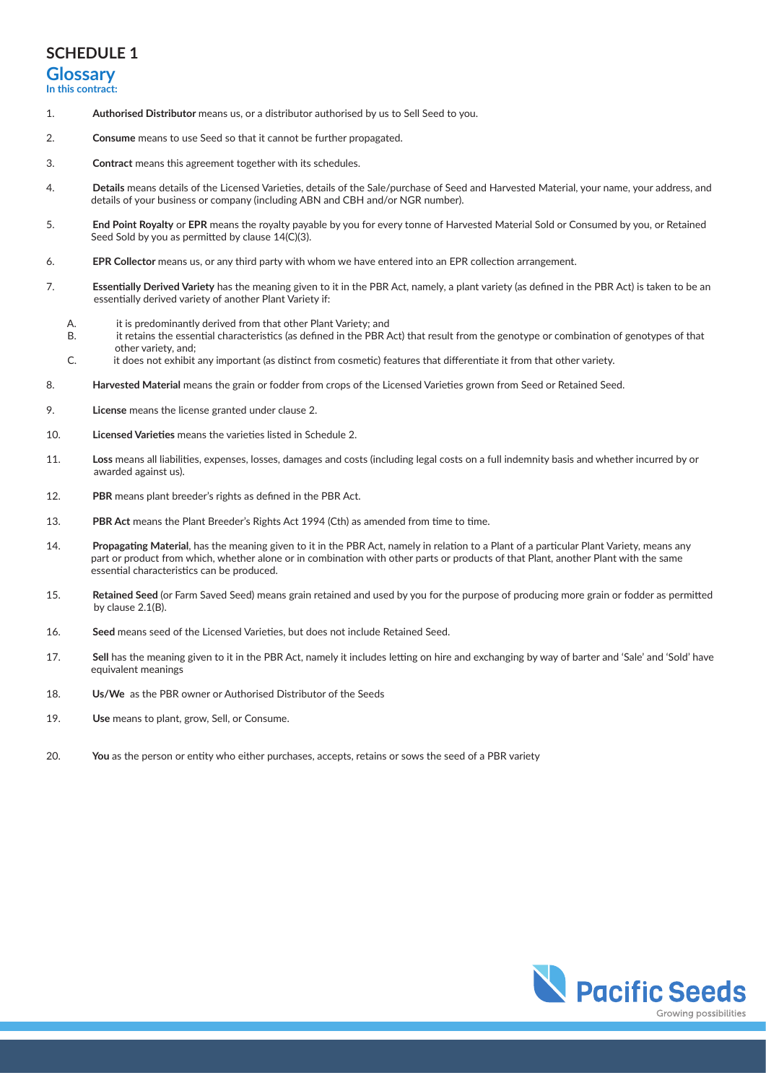# **SCHEDULE 1**

**Glossary In this contract:**

- 1. **Authorised Distributor** means us, or a distributor authorised by us to Sell Seed to you.
- 2. **Consume** means to use Seed so that it cannot be further propagated.
- 3. **Contract** means this agreement together with its schedules.
- 4. **Details** means details of the Licensed Varieties, details of the Sale/purchase of Seed and Harvested Material, your name, your address, and details of your business or company (including ABN and CBH and/or NGR number).
- 5. **End Point Royalty** or **EPR** means the royalty payable by you for every tonne of Harvested Material Sold or Consumed by you, or Retained Seed Sold by you as permitted by clause 14(C)(3).
- 6. **EPR Collector** means us, or any third party with whom we have entered into an EPR collection arrangement.
- 7. **Essentially Derived Variety** has the meaning given to it in the PBR Act, namely, a plant variety (as defined in the PBR Act) is taken to be an essentially derived variety of another Plant Variety if:
	- A. it is predominantly derived from that other Plant Variety; and
	- B. it retains the essential characteristics (as defined in the PBR Act) that result from the genotype or combination of genotypes of that other variety, and;<br>C. it does not exhibit
	- it does not exhibit any important (as distinct from cosmetic) features that differentiate it from that other variety.
- 8. **Harvested Material** means the grain or fodder from crops of the Licensed Varieties grown from Seed or Retained Seed.
- 9. **License** means the license granted under clause 2.
- 10. **Licensed Varieties** means the varieties listed in Schedule 2.
- 11. **Loss** means all liabilities, expenses, losses, damages and costs (including legal costs on a full indemnity basis and whether incurred by or awarded against us).
- 12. **PBR** means plant breeder's rights as defined in the PBR Act.
- 13. **PBR Act** means the Plant Breeder's Rights Act 1994 (Cth) as amended from time to time.
- 14. **Propagating Material**, has the meaning given to it in the PBR Act, namely in relation to a Plant of a particular Plant Variety, means any part or product from which, whether alone or in combination with other parts or products of that Plant, another Plant with the same essential characteristics can be produced.
- 15. **Retained Seed** (or Farm Saved Seed) means grain retained and used by you for the purpose of producing more grain or fodder as permitted by clause 2.1(B).
- 16. **Seed** means seed of the Licensed Varieties, but does not include Retained Seed.
- 17. **Sell** has the meaning given to it in the PBR Act, namely it includes letting on hire and exchanging by way of barter and 'Sale' and 'Sold' have equivalent meanings
- 18. **Us/We** as the PBR owner or Authorised Distributor of the Seeds
- 19. **Use** means to plant, grow, Sell, or Consume.
- 20. **You** as the person or entity who either purchases, accepts, retains or sows the seed of a PBR variety